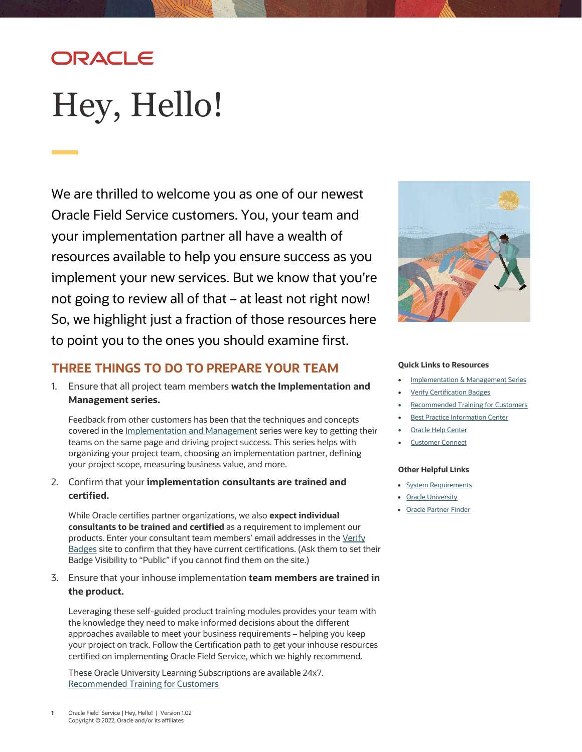# ORACLE

# <span id="page-0-0"></span>Hey, Hello!

We are thrilled to welcome you as one of our newest Oracle Field Service customers. You, your team and your implementation partner all have a wealth of resources available to help you ensure success as you implement your new services. But we know that you're not going to review all of that – at least not right now! So, we highlight just a fraction of those resources here to point you to the ones you should examine first.



### **THREE THINGS TO DO TO PREPARE YOUR TEAM**

1. Ensure that all project team members **watch the Implementation and Management series.** 

Feedback from other customers has been that the techniques and concepts covered in the [Implementation and Management](https://www.oracle.com/a/ocom/docs/implementation-and-management-series.pdf) series were key to getting their teams on the same page and driving project success. This series helps with organizing your project team, choosing an implementation partner, defining your project scope, measuring business value, and more.

2. Confirm that your **implementation consultants are trained and certified.**

While Oracle certifies partner organizations, we also **expect individual consultants to be trained and certified** as a requirement to implement our products. Enter your consultant team members' email addresses in the Verify [Badges](https://www.youracclaim.com/org/oracle/verify) site to confirm that they have current certifications. (Ask them to set their Badge Visibility to "Public" if you cannot find them on the site.)

3. Ensure that your inhouse implementation **team members are trained in the product.**

Leveraging these self-guided product training modules provides your team with the knowledge they need to make informed decisions about the different approaches available to meet your business requirements – helping you keep your project on track. Follow the Certification path to get your inhouse resources certified on implementing Oracle Field Service, which we highly recommend.

These Oracle University Learning Subscriptions are available 24x7. [Recommended Training for Customers](https://learn.oracle.com/ols/home/oracle-field-service-cloud-learning-subscription/47170)

#### **Quick Links to Resources**

- **Implementation & [Management Series](https://www.oracle.com/a/ocom/docs/implementation-and-management-series.pdf)**
- **[Verify Certification Badges](https://www.youracclaim.com/org/oracle/verify)**
- [Recommended Training for Customers](https://learn.oracle.com/ols/home/oracle-field-service-cloud-learning-subscription/47170)
- **[Best Practice Information](https://cx.rightnow.com/app/answers/detail/a_id/7225/) Center**
- **[Oracle Help Center](https://docs.oracle.com/pls/topic/lookup?ctx=en/cloud/saas/field-service&id=field-service)**
- **[Customer Connect](https://community.oracle.com/customerconnect/)**

#### **Other Helpful Links**

- [System Requirements](https://www.oracle.com/system-requirements/)
- [Oracle University](https://cx.rightnow.com/app/answers/detail/a_id/7225/)
- [Oracle Partner Finder](https://partner-finder.oracle.com/)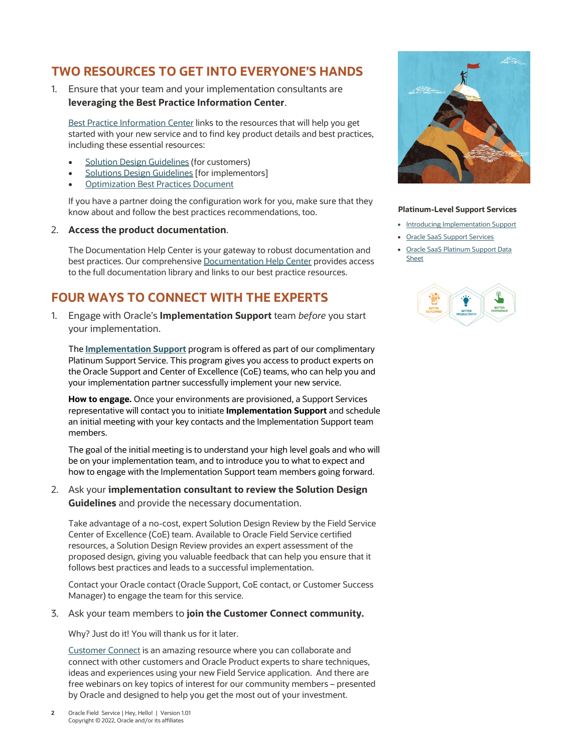## **TWO RESOURCES TO GET INTO EVERYONE'S HANDS**

1. Ensure that your team and your implementation consultants are **leveraging the Best Practice Information Center**.

[Best Practice Information Center](https://cx.rightnow.com/app/answers/detail/a_id/7225/) links to the resources that will help you get started with your new service and to find key product details and best practices, including these essential resources:

- **[Solution Design Guidelines](https://documentation.custhelp.com/euf/assets/docs/Field_Service/OracleFieldService_Customer_SDD_Guidelines.docx) (for customers)**
- **[Solutions Design Guidelines](https://documentation.custhelp.com/euf/assets/docs/Field_Service/OracleFieldService_SDD_Guidelines.docx) [for implementors]**
- **[Optimization Best Practices Document](https://documentation.custhelp.com/euf/assets/docs/Field_Service/OracleFieldServiceCloud_OptimizationBestPractices.pdf)**

If you have a partner doing the configuration work for you, make sure that they know about and follow the best practices recommendations, too.

#### 2. **Access the product documentation**.

The Documentation Help Center is your gateway to robust documentation and best practices. Our comprehensiv[e Documentation Help Center](https://cx.rightnow.com/app/answers/detail/a_id/8215) provides access to the full documentation library and links to our best practice resources.

# **FOUR WAYS TO CONNECT WITH THE EXPERTS**

1. Engage with Oracle's **Implementation Support** team *before* you start your implementation.

The **[Implementation Support](https://www.oracle.com/webfolder/cx-implementation/introducing-implementation-support.pdf)** program is offered as part of our complimentary Platinum Support Service. This program gives you access to product experts on the Oracle Support and Center of Excellence (CoE) teams, who can help you and your implementation partner successfully implement your new service.

**How to engage.** Once your environments are provisioned, a Support Services representative will contact you to initiate **Implementation Support** and schedule an initial meeting with your key contacts and the Implementation Support team members.

The goal of the initial meeting is to understand your high level goals and who will be on your implementation team, and to introduce you to what to expect and how to engage with the Implementation Support team members going forward.

2. Ask your **implementation consultant to review the Solution Design Guidelines** and provide the necessary documentation.

Take advantage of a no-cost, expert Solution Design Review by the Field Service Center of Excellence (CoE) team. Available to Oracle Field Service certified resources, a Solution Design Review provides an expert assessment of the proposed design, giving you valuable feedback that can help you ensure that it follows best practices and leads to a successful implementation.

Contact your Oracle contact (Oracle Support, CoE contact, or Customer Success Manager) to engage the team for this service.

#### 3. Ask your team members to **join the Customer Connect community.**

Why? Just do it! You will thank us for it later.

[Customer Connect](https://community.oracle.com/customerconnect/) is an amazing resource where you can collaborate and connect with other customers and Oracle Product experts to share techniques, ideas and experiences using your new Field Service application. And there are free webinars on key topics of interest for our community members – presented by Oracle and designed to help you get the most out of your investment.



#### **Platinum-Level Support Services**

- [Introducing Implementation Support](https://www.oracle.com/webfolder/cx-implementation/introducing-implementation-support.pdf)
- [Oracle SaaS Support Services](https://www.oracle.com/support/saas-services/)
- [Oracle SaaS Platinum Support Data](https://www.oracle.com/a/ocom/docs/oracle-saas-platinum-support-datasheet.pdf)  **[Sheet](https://www.oracle.com/a/ocom/docs/oracle-saas-platinum-support-datasheet.pdf)**